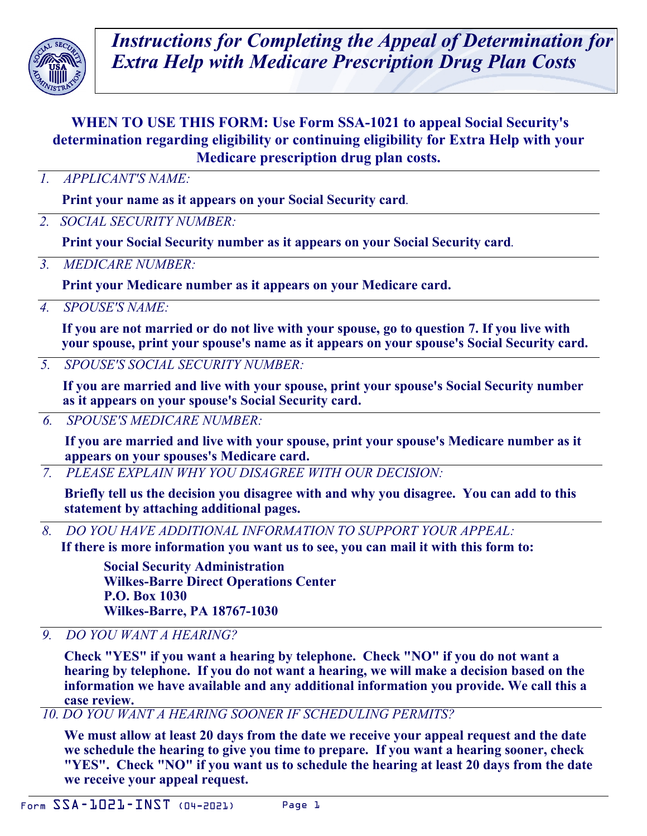

*Instructions for Completing the Appeal of Determination for Extra Help with Medicare Prescription Drug Plan Costs* 

# **WHEN TO USE THIS FORM: Use Form SSA-1021 to appeal Social Security's determination regarding eligibility or continuing eligibility for Extra Help with your Medicare prescription drug plan costs.**

*1. APPLICANT'S NAME:* 

**Print your name as it appears on your Social Security card***.*

*2. SOCIAL SECURITY NUMBER:* 

**Print your Social Security number as it appears on your Social Security card***.*

*3. MEDICARE NUMBER:* 

**Print your Medicare number as it appears on your Medicare card.**

*4. SPOUSE'S NAME:* 

**If you are not married or do not live with your spouse, go to question 7. If you live with your spouse, print your spouse's name as it appears on your spouse's Social Security card.**

*5. SPOUSE'S SOCIAL SECURITY NUMBER:* 

**If you are married and live with your spouse, print your spouse's Social Security number as it appears on your spouse's Social Security card.**

*6. SPOUSE'S MEDICARE NUMBER:* 

**If you are married and live with your spouse, print your spouse's Medicare number as it appears on your spouses's Medicare card.**

*7. PLEASE EXPLAIN WHY YOU DISAGREE WITH OUR DECISION:* 

**Briefly tell us the decision you disagree with and why you disagree. You can add to this statement by attaching additional pages.** 

*8. DO YOU HAVE ADDITIONAL INFORMATION TO SUPPORT YOUR APPEAL:* 

**If there is more information you want us to see, you can mail it with this form to:** 

**Social Security Administration Wilkes-Barre Direct Operations Center P.O. Box 1030 Wilkes-Barre, PA 18767-1030**

*9. DO YOU WANT A HEARING?* 

**Check "YES" if you want a hearing by telephone. Check "NO" if you do not want a hearing by telephone. If you do not want a hearing, we will make a decision based on the information we have available and any additional information you provide. We call this a case review.**

*10. DO YOU WANT A HEARING SOONER IF SCHEDULING PERMITS?* 

**We must allow at least 20 days from the date we receive your appeal request and the date we schedule the hearing to give you time to prepare. If you want a hearing sooner, check "YES". Check "NO" if you want us to schedule the hearing at least 20 days from the date we receive your appeal request.**